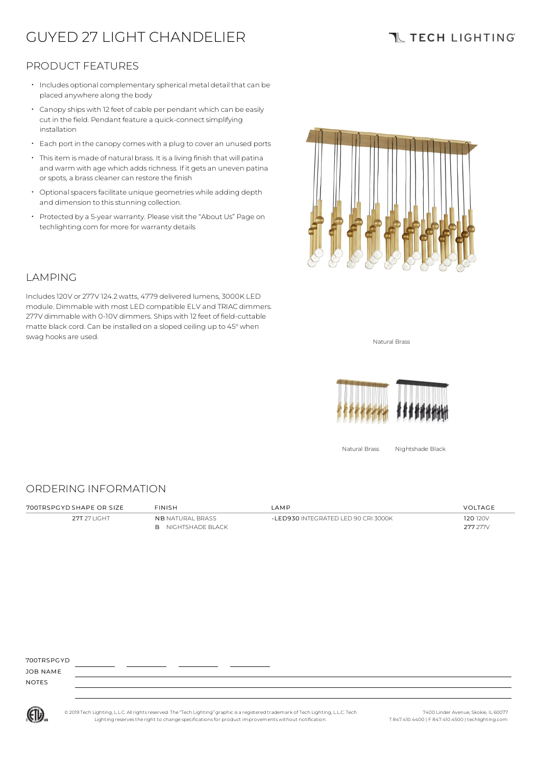# GUYED 27 LIGHT CHANDELIER

## **TL TECH LIGHTING**

### PRODUCT FEATURES

- Includes optional complementary spherical metal detail that can be placed anywhere along the body
- $\cdot$  Canopy ships with 12 feet of cable per pendant which can be easily cut in the field. Pendant feature a quick-connect simplifying installation
- Each port in the canopy comes with a plug to cover an unused ports
- Thisitem is made of natural brass. It is a living finish that will patina and warm with age which adds richness. If it gets an uneven patina or spots, a brass cleaner can restore the finish
- $\cdot$  Optional spacers facilitate unique geometries while adding depth and dimension to this stunning collection.
- Protected by a 5-year warranty. Please visit the "About Us" Page on techlighting.com for more for warranty details



### LAMPING

Includes120V or 277V 124.2watts, 4779 delivered lumens, 3000K LED module. Dimmable with most LED compatible ELV and TRIAC dimmers. 277V dimmable with 0-10V dimmers. Ships with 12 feet of field-cuttable matte black cord. Can be installed on a sloped ceiling up to 45°when swag hooks are used. Natural Brass and the state of the state of the state of the state of the state of the state of the state of the state of the state of the state of the state of the state of the state of the state of t



Natural Brass Nightshade Black

#### ORDERING INFORMATION

700TRSPGYD SHAPE OR SIZE FINISH LAMP VOLTAGE 27T 27 LIGHT NB NATURAL BRASS B NIGHTSHADE BLACK -LED930 INTEGRATED LED 90 CRI 3000K 120 120 120V 277 277V

700TRSPGYD

JOB NAME NOTES



© 2019 Tech Lighting, L.L.C. All rightsreserved. The "Tech Lighting" graphicis a registered trademark of Tech Lighting, L.L.C. Tech Lighting reservesthe right to change specificationsfor product improvements without notification.

7400 Linder Avenue, Skokie, IL 60077 T 847.410.4400 | F 847.410.4500 | techlighting.com